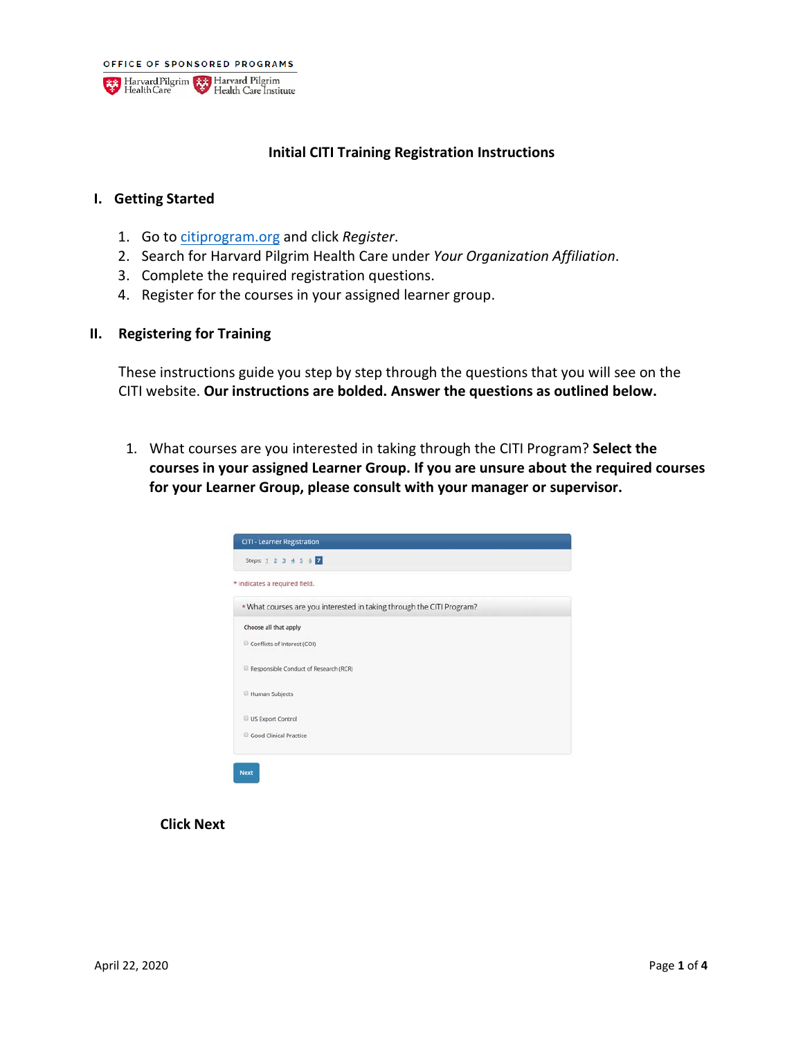

#### **Initial CITI Training Registration Instructions**

#### **I. Getting Started**

- 1. Go t[o citiprogram.org](https://about.citiprogram.org/en/homepage/) and click *Register*.
- 2. Search for Harvard Pilgrim Health Care under *Your Organization Affiliation*.
- 3. Complete the required registration questions.
- 4. Register for the courses in your assigned learner group.
- **II. Registering for Training**

These instructions guide you step by step through the questions that you will see on the CITI website. **Our instructions are bolded. Answer the questions as outlined below.**

1. What courses are you interested in taking through the CITI Program? **Select the courses in your assigned Learner Group. If you are unsure about the required courses for your Learner Group, please consult with your manager or supervisor.**

| Steps: 1 2 3 4 5 6 7                  |                                                                       |  |
|---------------------------------------|-----------------------------------------------------------------------|--|
| * indicates a required field.         |                                                                       |  |
|                                       | * What courses are you interested in taking through the CITI Program? |  |
| Choose all that apply                 |                                                                       |  |
| Conflicts of Interest (COI)           |                                                                       |  |
| Responsible Conduct of Research (RCR) |                                                                       |  |
| Human Subjects                        |                                                                       |  |
| US Export Control                     |                                                                       |  |
| Good Clinical Practice                |                                                                       |  |

**Click Next**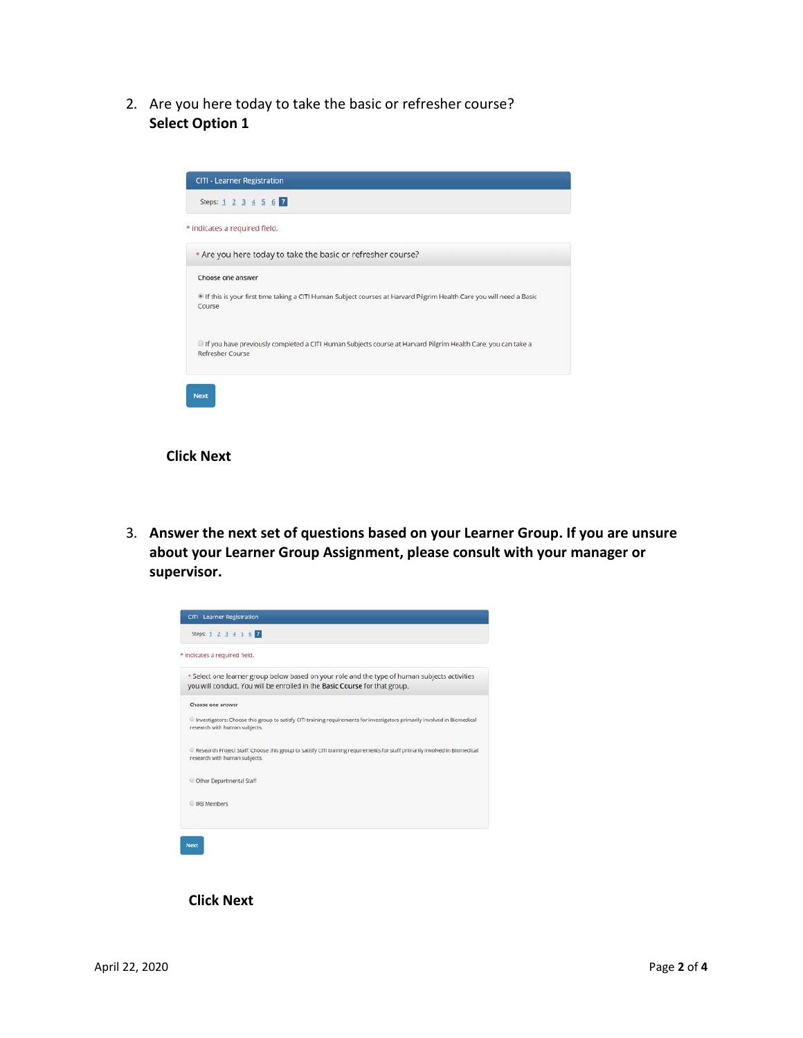2. Are you here today to take the basic or refresher course? **Select Option 1**

| * indicates a required field. |                                                                                                                     |
|-------------------------------|---------------------------------------------------------------------------------------------------------------------|
|                               |                                                                                                                     |
|                               | * Are you here today to take the basic or refresher course?                                                         |
| Choose one answer             |                                                                                                                     |
|                               | If this is your first time taking a CITI Human Subject courses at Harvard Pilgrim Health Care you will need a Basic |
| Course                        |                                                                                                                     |
|                               | If you have previously completed a CITI Human Subjects course at Harvard Pilgrim Health Care, you can take a        |
| Refresher Course              |                                                                                                                     |

#### **Click Next**

3. **Answer the next set of questions based on your Learner Group. If you are unsure about your Learner Group Assignment, please consult with your manager or supervisor.**



**Click Next**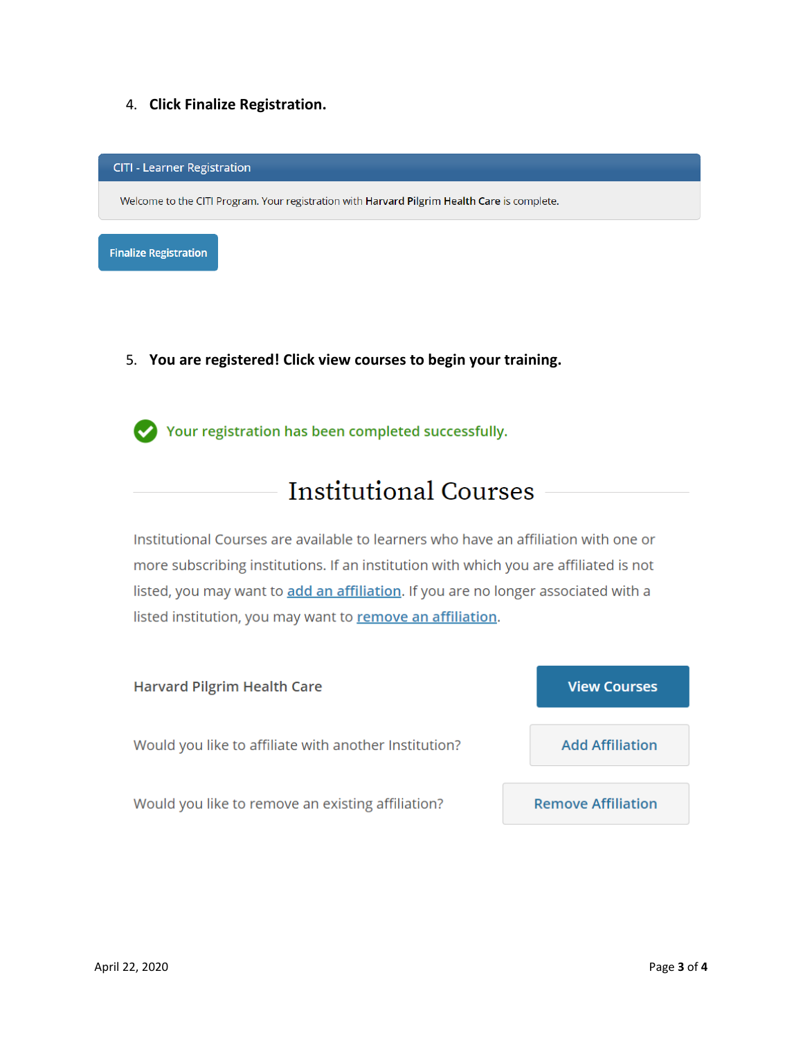4. **Click Finalize Registration.**

**CITI - Learner Registration** 

Welcome to the CITI Program. Your registration with Harvard Pilgrim Health Care is complete.

**Finalize Registration** 

5. **You are registered! Click view courses to begin your training.**

Your registration has been completed successfully.

# **Institutional Courses**

Institutional Courses are available to learners who have an affiliation with one or more subscribing institutions. If an institution with which you are affiliated is not listed, you may want to add an affiliation. If you are no longer associated with a listed institution, you may want to remove an affiliation.